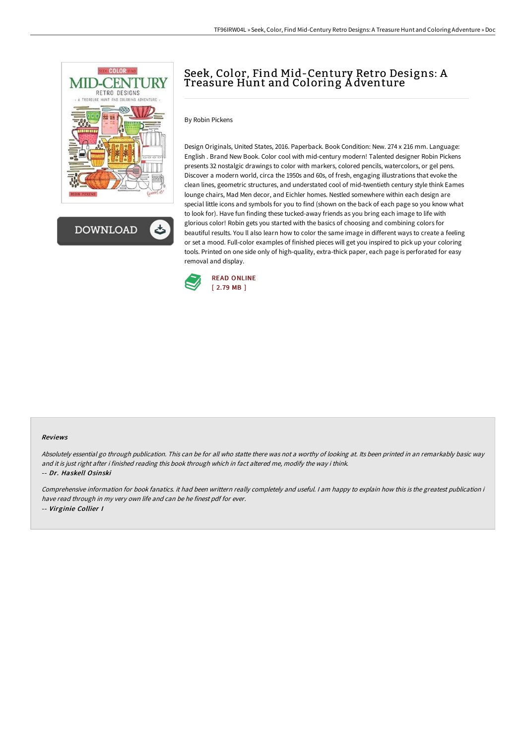

**DOWNLOAD** 

# Seek, Color, Find Mid-Century Retro Designs: A Treasure Hunt and Coloring A dventure

# By Robin Pickens

Design Originals, United States, 2016. Paperback. Book Condition: New. 274 x 216 mm. Language: English . Brand New Book. Color cool with mid-century modern! Talented designer Robin Pickens presents 32 nostalgic drawings to color with markers, colored pencils, watercolors, or gel pens. Discover a modern world, circa the 1950s and 60s, of fresh, engaging illustrations that evoke the clean lines, geometric structures, and understated cool of mid-twentieth century style think Eames lounge chairs, Mad Men decor, and Eichler homes. Nestled somewhere within each design are special little icons and symbols for you to find (shown on the back of each page so you know what to look for). Have fun finding these tucked-away friends as you bring each image to life with glorious color! Robin gets you started with the basics of choosing and combining colors for beautiful results. You ll also learn how to color the same image in different ways to create a feeling or set a mood. Full-color examples of finished pieces will get you inspired to pick up your coloring tools. Printed on one side only of high-quality, extra-thick paper, each page is perforated for easy removal and display.



#### Reviews

Absolutely essential go through publication. This can be for all who statte there was not <sup>a</sup> worthy of looking at. Its been printed in an remarkably basic way and it is just right after i finished reading this book through which in fact altered me, modify the way i think. -- Dr. Haskell Osinski

Comprehensive information for book fanatics. it had been writtern really completely and useful. <sup>I</sup> am happy to explain how this is the greatest publication i have read through in my very own life and can be he finest pdf for ever. -- Virginie Collier I